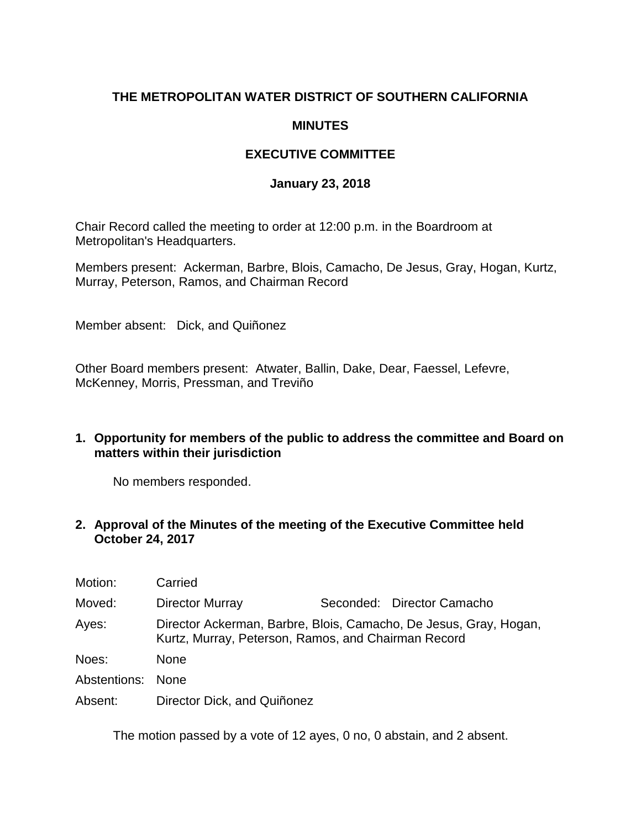# **THE METROPOLITAN WATER DISTRICT OF SOUTHERN CALIFORNIA**

#### **MINUTES**

## **EXECUTIVE COMMITTEE**

#### **January 23, 2018**

Chair Record called the meeting to order at 12:00 p.m. in the Boardroom at Metropolitan's Headquarters.

Members present: Ackerman, Barbre, Blois, Camacho, De Jesus, Gray, Hogan, Kurtz, Murray, Peterson, Ramos, and Chairman Record

Member absent: Dick, and Quiñonez

Other Board members present: Atwater, Ballin, Dake, Dear, Faessel, Lefevre, McKenney, Morris, Pressman, and Treviño

#### **1. Opportunity for members of the public to address the committee and Board on matters within their jurisdiction**

No members responded.

#### **2. Approval of the Minutes of the meeting of the Executive Committee held October 24, 2017**

| Motion:           | Carried                                                                                                                  |  |                            |  |
|-------------------|--------------------------------------------------------------------------------------------------------------------------|--|----------------------------|--|
| Moved:            | Director Murray                                                                                                          |  | Seconded: Director Camacho |  |
| Ayes:             | Director Ackerman, Barbre, Blois, Camacho, De Jesus, Gray, Hogan,<br>Kurtz, Murray, Peterson, Ramos, and Chairman Record |  |                            |  |
| Noes:             | <b>None</b>                                                                                                              |  |                            |  |
| Abstentions: None |                                                                                                                          |  |                            |  |
| Absent:           | Director Dick, and Quiñonez                                                                                              |  |                            |  |

The motion passed by a vote of 12 ayes, 0 no, 0 abstain, and 2 absent.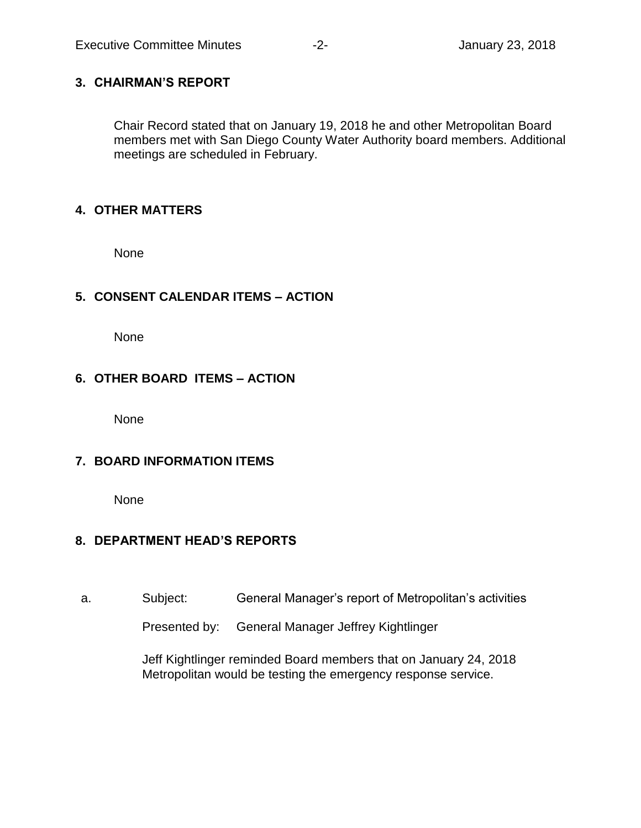#### **3. CHAIRMAN'S REPORT**

Chair Record stated that on January 19, 2018 he and other Metropolitan Board members met with San Diego County Water Authority board members. Additional meetings are scheduled in February.

#### **4. OTHER MATTERS**

None

## **5. CONSENT CALENDAR ITEMS – ACTION**

None

## **6. OTHER BOARD ITEMS – ACTION**

None

## **7. BOARD INFORMATION ITEMS**

None

## **8. DEPARTMENT HEAD'S REPORTS**

a. Subject: General Manager's report of Metropolitan's activities

Presented by: General Manager Jeffrey Kightlinger

Jeff Kightlinger reminded Board members that on January 24, 2018 Metropolitan would be testing the emergency response service.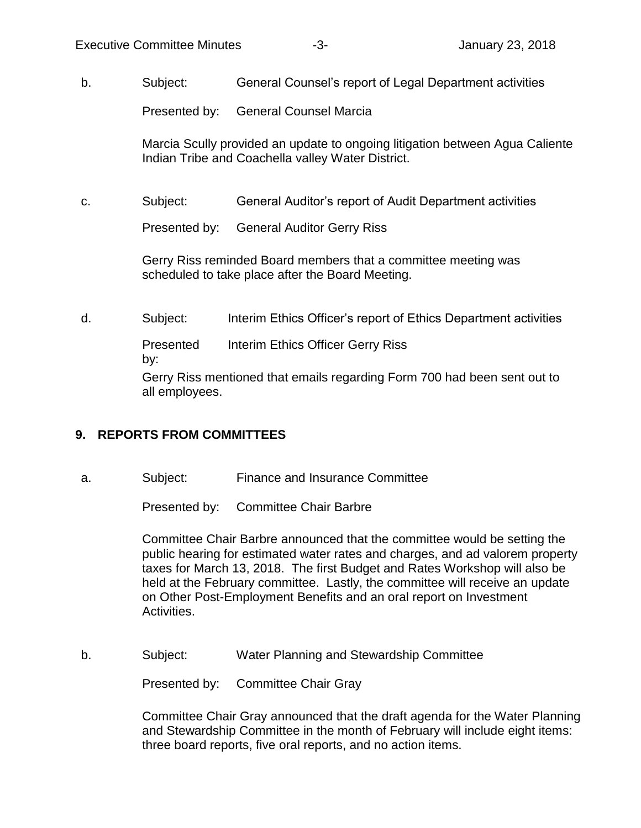b. Subject: General Counsel's report of Legal Department activities

Presented by: General Counsel Marcia

Marcia Scully provided an update to ongoing litigation between Agua Caliente Indian Tribe and Coachella valley Water District.

c. Subject: General Auditor's report of Audit Department activities

Presented by: General Auditor Gerry Riss

Gerry Riss reminded Board members that a committee meeting was scheduled to take place after the Board Meeting.

d. Subject: Interim Ethics Officer's report of Ethics Department activities

Presented Interim Ethics Officer Gerry Riss

by:

Gerry Riss mentioned that emails regarding Form 700 had been sent out to all employees.

## **9. REPORTS FROM COMMITTEES**

a. Subject: Finance and Insurance Committee

Presented by: Committee Chair Barbre

Committee Chair Barbre announced that the committee would be setting the public hearing for estimated water rates and charges, and ad valorem property taxes for March 13, 2018. The first Budget and Rates Workshop will also be held at the February committee. Lastly, the committee will receive an update on Other Post-Employment Benefits and an oral report on Investment Activities.

b. Subject: Water Planning and Stewardship Committee

Presented by: Committee Chair Gray

Committee Chair Gray announced that the draft agenda for the Water Planning and Stewardship Committee in the month of February will include eight items: three board reports, five oral reports, and no action items.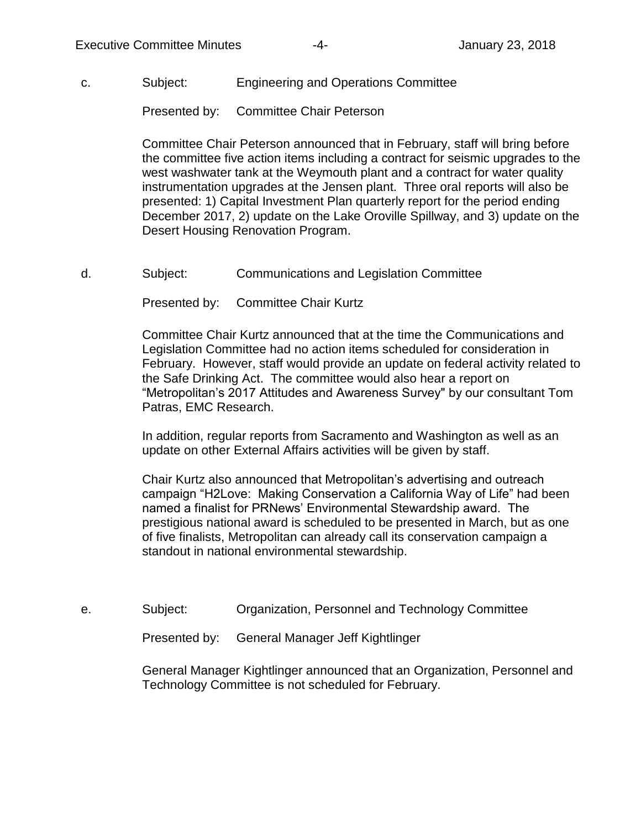#### c. Subject: Engineering and Operations Committee

Presented by: Committee Chair Peterson

Committee Chair Peterson announced that in February, staff will bring before the committee five action items including a contract for seismic upgrades to the west washwater tank at the Weymouth plant and a contract for water quality instrumentation upgrades at the Jensen plant. Three oral reports will also be presented: 1) Capital Investment Plan quarterly report for the period ending December 2017, 2) update on the Lake Oroville Spillway, and 3) update on the Desert Housing Renovation Program.

d. Subject: Communications and Legislation Committee

Presented by: Committee Chair Kurtz

Committee Chair Kurtz announced that at the time the Communications and Legislation Committee had no action items scheduled for consideration in February. However, staff would provide an update on federal activity related to the Safe Drinking Act. The committee would also hear a report on "Metropolitan's 2017 Attitudes and Awareness Survey" by our consultant Tom Patras, EMC Research.

In addition, regular reports from Sacramento and Washington as well as an update on other External Affairs activities will be given by staff.

Chair Kurtz also announced that Metropolitan's advertising and outreach campaign "H2Love: Making Conservation a California Way of Life" had been named a finalist for PRNews' Environmental Stewardship award. The prestigious national award is scheduled to be presented in March, but as one of five finalists, Metropolitan can already call its conservation campaign a standout in national environmental stewardship.

e. Subject: Organization, Personnel and Technology Committee

Presented by: General Manager Jeff Kightlinger

General Manager Kightlinger announced that an Organization, Personnel and Technology Committee is not scheduled for February.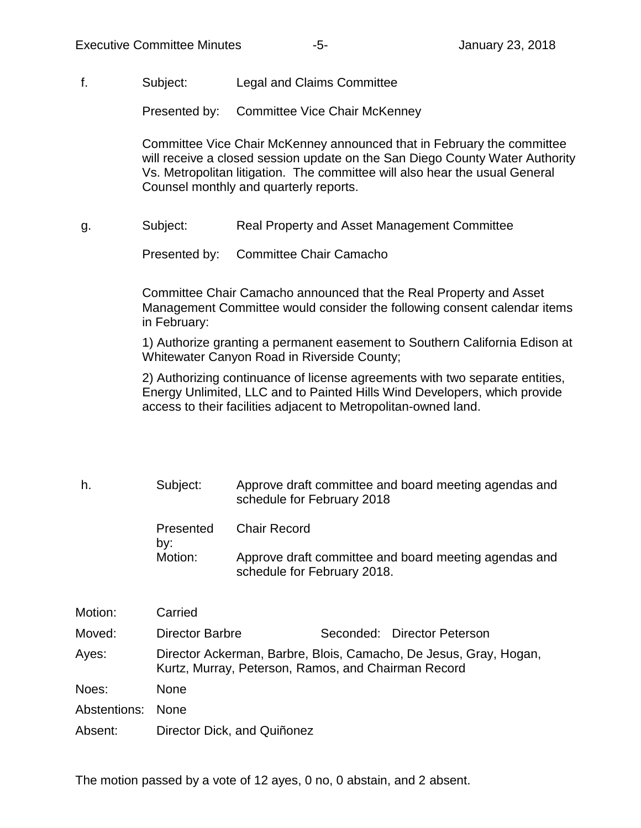f. Subject: Legal and Claims Committee

Presented by: Committee Vice Chair McKenney

Committee Vice Chair McKenney announced that in February the committee will receive a closed session update on the San Diego County Water Authority Vs. Metropolitan litigation. The committee will also hear the usual General Counsel monthly and quarterly reports.

g. Subject: Real Property and Asset Management Committee

Presented by: Committee Chair Camacho

Committee Chair Camacho announced that the Real Property and Asset Management Committee would consider the following consent calendar items in February:

1) Authorize granting a permanent easement to Southern California Edison at Whitewater Canyon Road in Riverside County;

2) Authorizing continuance of license agreements with two separate entities, Energy Unlimited, LLC and to Painted Hills Wind Developers, which provide access to their facilities adjacent to Metropolitan-owned land.

h. Subject: Approve draft committee and board meeting agendas and schedule for February 2018 Presented by: Chair Record Motion: Approve draft committee and board meeting agendas and schedule for February 2018.

| Motion:           | Carried                                                                                                                  |  |                             |  |
|-------------------|--------------------------------------------------------------------------------------------------------------------------|--|-----------------------------|--|
| Moved:            | <b>Director Barbre</b>                                                                                                   |  | Seconded: Director Peterson |  |
| Ayes:             | Director Ackerman, Barbre, Blois, Camacho, De Jesus, Gray, Hogan,<br>Kurtz, Murray, Peterson, Ramos, and Chairman Record |  |                             |  |
| Noes:             | <b>None</b>                                                                                                              |  |                             |  |
| Abstentions: None |                                                                                                                          |  |                             |  |
| Absent:           | Director Dick, and Quiñonez                                                                                              |  |                             |  |

The motion passed by a vote of 12 ayes, 0 no, 0 abstain, and 2 absent.